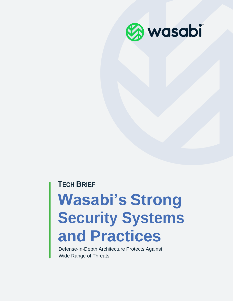

### **TECH BRIEF**

# **Wasabi's Strong Security Systems and Practices**

Defense-in-Depth Architecture Protects Against Wide Range of Threats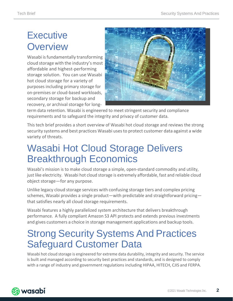### **Executive Overview**

Wasabi is fundamentally transforming cloud storage with the industry's most affordable and highest-performing storage solution. You can use Wasabi hot cloud storage for a variety of purposes including primary storage for on-premises or cloud-based workloads, secondary storage for backup and recovery, or archival storage for long-



term data retention. Wasabi is engineered to meet stringent security and compliance requirements and to safeguard the integrity and privacy of customer data.

This tech brief provides a short overview of Wasabi hot cloud storage and reviews the strong security systems and best practices Wasabi usesto protect customer data against a wide variety of threats.

### Wasabi Hot Cloud Storage Delivers Breakthrough Economics

Wasabi's mission is to make cloud storage a simple, open-standard commodity and utility, just like electricity. Wasabi hot cloud storage is extremely affordable, fast and reliable cloud object storage—for any purpose.

Unlike legacy cloud storage services with confusing storage tiers and complex pricing schemes, Wasabi provides a single product—with predictable and straightforward pricing that satisfies nearly all cloud storage requirements.

Wasabi features a highly parallelized system architecture that delivers breakthrough performance. A fully compliant Amazon S3 API protects and extends previous investments and gives customers a choice in storage management applications and backup tools.

### Strong Security Systems And Practices Safeguard Customer Data

Wasabi hot cloud storage is engineered for extreme data durability, integrity and security. The service is built and managed according to security best practices and standards, and is designed to comply with a range of industry and government regulations including HIPAA, HITECH, CJIS and FERPA.

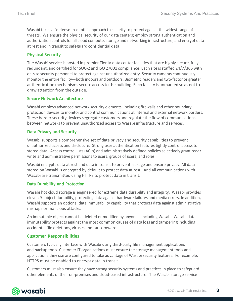Wasabi takes a "defense-in-depth" approach to security to protect against the widest range of threats. We ensure the physical security of our data centers; employ strong authentication and authorization controls for all cloud compute, storage and networking infrastructure; and encrypt data at rest and in transit to safeguard confidential data.

#### **Physical Security**

The Wasabi service is hosted in premier Tier IV data center facilities that are highly secure, fully redundant, and certified for SOC-2 and ISO 27001 compliance. Each site isstaffed 24/7/365 with on-site security personnel to protect against unauthorized entry. Security cameras continuously monitor the entire facility—both indoors and outdoors. Biometric readers and two-factor or greater authentication mechanisms secure access to the building. Each facility is unmarked so as not to draw attention from the outside.

#### **Secure Network Architecture**

Wasabi employs advanced network security elements, including firewalls and other boundary protection devices to monitor and control communications at internal and external network borders. These border security devices segregate customers and regulate the flow of communications between networks to prevent unauthorized access to Wasabi infrastructure and services.

#### **Data Privacy and Security**

Wasabi supports a comprehensive set of data privacy and security capabilities to prevent unauthorized access and disclosure. Strong user authentication features tightly control access to stored data. Access control lists (ACLs) and administratively defined policies selectively grant read/ write and administrative permissions to users, groups of users, and roles.

Wasabi encrypts data at rest and data in transit to prevent leakage and ensure privacy. All data stored on Wasabi is encrypted by default to protect data at rest. And all communications with Wasabi are transmitted using HTTPS to protect data in transit.

#### **Data Durability and Protection**

Wasabi hot cloud storage is engineered for extreme data durability and integrity. Wasabi provides eleven 9s object durability, protecting data against hardware failures and media errors. In addition, Wasabi supports an optional data immutability capability that protects data against administrative mishaps or malicious attacks.

An immutable object cannot be deleted or modified by anyone—including Wasabi. Wasabi data immutability protects against the most common causes of data loss and tampering including accidental file deletions, viruses and ransomware.

#### **Customer Responsibilities**

Customers typically interface with Wasabi using third-party file management applications and backup tools. Customer IT organizations must ensure the storage management tools and applications they use are configured to take advantage of Wasabi security features. For example, HTTPS must be enabled to encrypt data in transit.

Customers must also ensure they have strong security systems and practices in place to safeguard other elements of their on-premises and cloud-based infrastructure. The Wasabi storage service

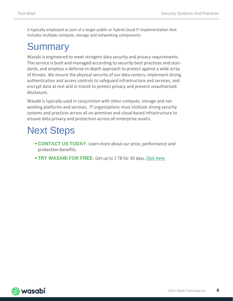is typically employed as part of a larger public or hybrid cloud IT implementation that includes multiple compute, storage and networking components.

### **Summary**

Wasabi is engineered to meet stringent data security and privacy requirements. The service is built and managed according to security best practices and standards, and employs a defense-in-depth approach to protect against a wide array of threats. We ensure the physical security of our data centers, implement strong authentication and access controls to safeguard infrastructure and services, and encrypt data at rest and in transit to protect privacy and prevent unauthorized disclosure.

Wasabi is typically used in conjunction with other compute, storage and networking platforms and services. IT organizations must institute strong security systems and practices across all on-premises and cloud-based infrastructure to ensure data privacy and protection across all enterprise assets.

## Next Steps

- **[•CONTACT](https://wasabi.com/contact/) US TODAY.** Learn more about our price, performance and protection benefits.
- **•TRY [WASABI](https://wasabi.com/product/) FOR FREE.** Get up to <sup>1</sup> TB for <sup>30</sup> days. [Click Here.](https://gch-services.com/wasabi-free-trial/)